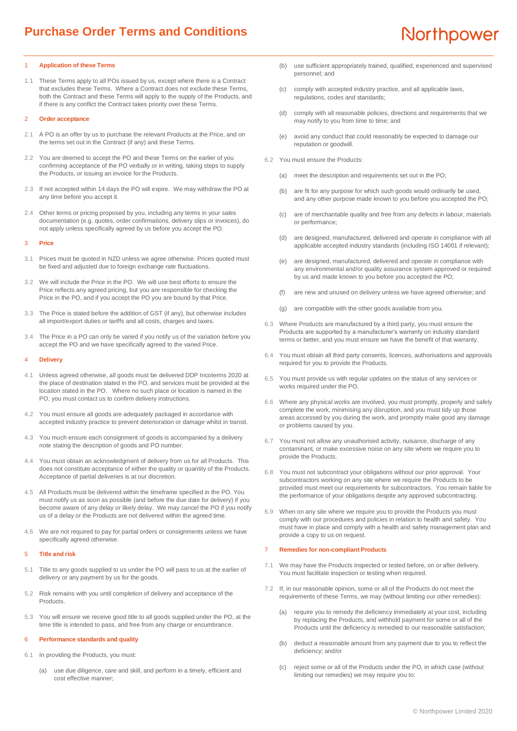### 1 **Application of these Terms**

1.1 These Terms apply to all POs issued by us, except where there is a Contract that excludes these Terms. Where a Contract does not exclude these Terms, both the Contract and these Terms will apply to the supply of the Products, and if there is any conflict the Contract takes priority over these Terms.

## 2 **Order acceptance**

- 2.1 A PO is an offer by us to purchase the relevant Products at the Price, and on the terms set out in the Contract (if any) and these Terms.
- 2.2 You are deemed to accept the PO and these Terms on the earlier of you confirming acceptance of the PO verbally or in writing, taking steps to supply the Products, or issuing an invoice for the Products.
- 2.3 If not accepted within 14 days the PO will expire. We may withdraw the PO at any time before you accept it.
- 2.4 Other terms or pricing proposed by you, including any terms in your sales documentation (e.g. quotes, order confirmations, delivery slips or invoices), do not apply unless specifically agreed by us before you accept the PO.

# 3 **Price**

- 3.1 Prices must be quoted in NZD unless we agree otherwise. Prices quoted must be fixed and adjusted due to foreign exchange rate fluctuations.
- 3.2 We will include the Price in the PO. We will use best efforts to ensure the Price reflects any agreed pricing, but you are responsible for checking the Price in the PO, and if you accept the PO you are bound by that Price.
- 3.3 The Price is stated before the addition of GST (if any), but otherwise includes all import/export duties or tariffs and all costs, charges and taxes.
- 3.4 The Price in a PO can only be varied if you notify us of the variation before you accept the PO and we have specifically agreed to the varied Price.

#### 4 **Delivery**

- 4.1 Unless agreed otherwise, all goods must be delivered DDP Incoterms 2020 at the place of destination stated in the PO, and services must be provided at the location stated in the PO. Where no such place or location is named in the PO, you must contact us to confirm delivery instructions.
- 4.2 You must ensure all goods are adequately packaged in accordance with accepted industry practice to prevent deterioration or damage whilst in transit.
- 4.3 You much ensure each consignment of goods is accompanied by a delivery note stating the description of goods and PO number.
- 4.4 You must obtain an acknowledgment of delivery from us for all Products. This does not constitute acceptance of either the quality or quantity of the Products. Acceptance of partial deliveries is at our discretion.
- 4.5 All Products must be delivered within the timeframe specified in the PO. You must notify us as soon as possible (and before the due date for delivery) if you become aware of any delay or likely delay. We may cancel the PO if you notify us of a delay or the Products are not delivered within the agreed time.
- 4.6 We are not required to pay for partial orders or consignments unless we have specifically agreed otherwise.

### 5 **Title and risk**

- Title to any goods supplied to us under the PO will pass to us at the earlier of delivery or any payment by us for the goods.
- 5.2 Risk remains with you until completion of delivery and acceptance of the Products.
- 5.3 You will ensure we receive good title to all goods supplied under the PO, at the time title is intended to pass, and free from any charge or encumbrance.

#### <span id="page-0-2"></span>6 **Performance standards and quality**

- 6.1 In providing the Products, you must:
	- (a) use due diligence, care and skill, and perform in a timely, efficient and cost effective manner;
- (b) use sufficient appropriately trained, qualified, experienced and supervised personnel; and
- (c) comply with accepted industry practice, and all applicable laws, regulations, codes and standards;
- (d) comply with all reasonable policies, directions and requirements that we may notify to you from time to time; and
- (e) avoid any conduct that could reasonably be expected to damage our reputation or goodwill.
- 6.2 You must ensure the Products:
	- (a) meet the description and requirements set out in the PO;
	- (b) are fit for any purpose for which such goods would ordinarily be used, and any other purpose made known to you before you accepted the PO;
	- (c) are of merchantable quality and free from any defects in labour, materials or performance;
	- (d) are designed, manufactured, delivered and operate in compliance with all applicable accepted industry standards (including ISO 14001 if relevant);
	- (e) are designed, manufactured, delivered and operate in compliance with any environmental and/or quality assurance system approved or required by us and made known to you before you accepted the PO;
	- (f) are new and unused on delivery unless we have agreed otherwise; and
	- (g) are compatible with the other goods available from you.
- 6.3 Where Products are manufactured by a third party, you must ensure the Products are supported by a manufacturer's warranty on industry standard terms or better, and you must ensure we have the benefit of that warranty.
- 6.4 You must obtain all third party consents, licences, authorisations and approvals required for you to provide the Products.
- 6.5 You must provide us with regular updates on the status of any services or works required under the PO.
- 6.6 Where any physical works are involved, you must promptly, properly and safely complete the work, minimising any disruption, and you must tidy up those areas accessed by you during the work, and promptly make good any damage or problems caused by you.
- 6.7 You must not allow any unauthorised activity, nuisance, discharge of any contaminant, or make excessive noise on any site where we require you to provide the Products.
- 6.8 You must not subcontract your obligations without our prior approval. Your subcontractors working on any site where we require the Products to be provided must meet our requirements for subcontractors. You remain liable for the performance of your obligations despite any approved subcontracting.
- 6.9 When on any site where we require you to provide the Products you must comply with our procedures and policies in relation to health and safety. You must have in place and comply with a health and safety management plan and provide a copy to us on request.

#### <span id="page-0-1"></span>7 **Remedies for non-compliant Products**

- 7.1 We may have the Products inspected or tested before, on or after delivery. You must facilitate inspection or testing when required.
- <span id="page-0-0"></span>7.2 If, in our reasonable opinion, some or all of the Products do not meet the requirements of these Terms, we may (without limiting our other remedies):
	- (a) require you to remedy the deficiency immediately at your cost, including by replacing the Products, and withhold payment for some or all of the Products until the deficiency is remedied to our reasonable satisfaction;
	- (b) deduct a reasonable amount from any payment due to you to reflect the deficiency; and/or
	- (c) reject some or all of the Products under the PO, in which case (without limiting our remedies) we may require you to: